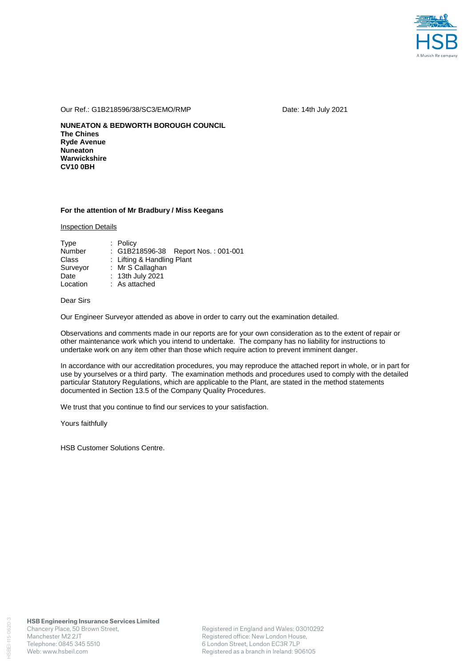

#### Our Ref.: G1B218596/38/SC3/EMO/RMP Date: 14th July 2021

**NUNEATON & BEDWORTH BOROUGH COUNCIL The Chines Ryde Avenue Nuneaton Warwickshire CV10 0BH** 

### **For the attention of Mr Bradbury / Miss Keegans**

Inspection Details

| Type     | $:$ Policy                          |
|----------|-------------------------------------|
| Number   | : G1B218596-38 Report Nos.: 001-001 |
| Class    | : Lifting & Handling Plant          |
| Surveyor | : Mr S Callaghan                    |
| Date     | : 13th July 2021                    |
| Location | : As attached                       |

## Dear Sirs

Our Engineer Surveyor attended as above in order to carry out the examination detailed.

Observations and comments made in our reports are for your own consideration as to the extent of repair or other maintenance work which you intend to undertake. The company has no liability for instructions to undertake work on any item other than those which require action to prevent imminent danger.

In accordance with our accreditation procedures, you may reproduce the attached report in whole, or in part for use by yourselves or a third party. The examination methods and procedures used to comply with the detailed particular Statutory Regulations, which are applicable to the Plant, are stated in the method statements documented in Section 13.5 of the Company Quality Procedures.

We trust that you continue to find our services to your satisfaction.

Yours faithfully

HSB Customer Solutions Centre.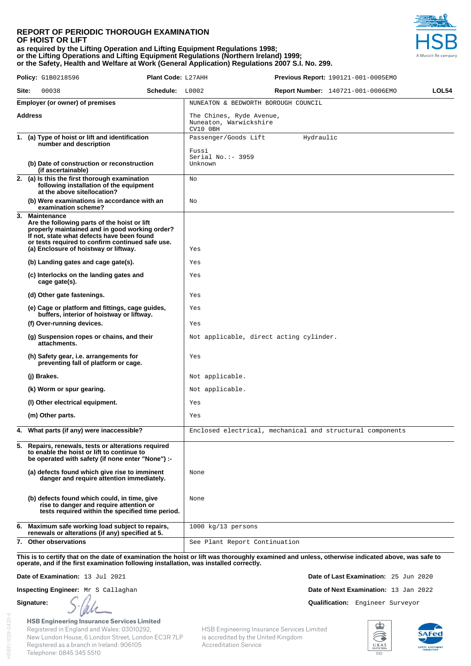### **REPORT OF PERIODIC THOROUGH EXAMINATION OF HOIST OR LIFT as required by the Lifting Operation and Lifting Equipment Regulations 1998; or the Lifting Operations and Lifting Equipment Regulations (Northern Ireland) 1999; or the Safety, Health and Welfare at Work (General Application) Regulations 2007 S.I. No. 299.**



|                |  | <b>Policy:</b> G1B0218596                                                                                                                                                                                                                                   | Plant Code: L27AHH                                             |                                                           |           | <b>Previous Report:</b> 190121-001-0005EMO |       |
|----------------|--|-------------------------------------------------------------------------------------------------------------------------------------------------------------------------------------------------------------------------------------------------------------|----------------------------------------------------------------|-----------------------------------------------------------|-----------|--------------------------------------------|-------|
| Site:          |  | 00038                                                                                                                                                                                                                                                       | Schedule: L0002                                                |                                                           |           | <b>Report Number: 140721-001-0006EMO</b>   | LOL54 |
|                |  | <b>Employer (or owner) of premises</b>                                                                                                                                                                                                                      |                                                                | NUNEATON & BEDWORTH BOROUGH COUNCIL                       |           |                                            |       |
| <b>Address</b> |  |                                                                                                                                                                                                                                                             | The Chines, Ryde Avenue,<br>Nuneaton, Warwickshire<br>CV10 OBH |                                                           |           |                                            |       |
|                |  | 1. (a) Type of hoist or lift and identification<br>number and description                                                                                                                                                                                   |                                                                | Passenger/Goods Lift                                      | Hydraulic |                                            |       |
|                |  | (b) Date of construction or reconstruction<br>(if ascertainable)                                                                                                                                                                                            |                                                                | Fussi<br>Serial No.: - 3959<br>Unknown                    |           |                                            |       |
|                |  | 2. (a) Is this the first thorough examination<br>following installation of the equipment<br>at the above site/location?                                                                                                                                     |                                                                | Νo                                                        |           |                                            |       |
|                |  | (b) Were examinations in accordance with an<br>examination scheme?                                                                                                                                                                                          |                                                                | No                                                        |           |                                            |       |
|                |  | 3. Maintenance<br>Are the following parts of the hoist or lift<br>properly maintained and in good working order?<br>If not, state what defects have been found<br>or tests required to confirm continued safe use.<br>(a) Enclosure of hoistway or liftway. |                                                                | Yes                                                       |           |                                            |       |
|                |  | (b) Landing gates and cage gate(s).                                                                                                                                                                                                                         |                                                                | Yes                                                       |           |                                            |       |
|                |  | (c) Interlocks on the landing gates and<br>cage gate(s).                                                                                                                                                                                                    |                                                                | Yes                                                       |           |                                            |       |
|                |  | (d) Other gate fastenings.                                                                                                                                                                                                                                  |                                                                | Yes                                                       |           |                                            |       |
|                |  | (e) Cage or platform and fittings, cage guides,<br>buffers, interior of hoistway or liftway.                                                                                                                                                                |                                                                | Yes                                                       |           |                                            |       |
|                |  | (f) Over-running devices.                                                                                                                                                                                                                                   |                                                                | Yes                                                       |           |                                            |       |
|                |  | (g) Suspension ropes or chains, and their<br>attachments.                                                                                                                                                                                                   |                                                                | Not applicable, direct acting cylinder.                   |           |                                            |       |
|                |  | (h) Safety gear, i.e. arrangements for<br>preventing fall of platform or cage.                                                                                                                                                                              |                                                                | Yes                                                       |           |                                            |       |
|                |  | (j) Brakes.                                                                                                                                                                                                                                                 |                                                                | Not applicable.                                           |           |                                            |       |
|                |  | (k) Worm or spur gearing.                                                                                                                                                                                                                                   |                                                                | Not applicable.                                           |           |                                            |       |
|                |  | (I) Other electrical equipment.                                                                                                                                                                                                                             |                                                                | Yes                                                       |           |                                            |       |
|                |  | (m) Other parts.                                                                                                                                                                                                                                            |                                                                | Yes                                                       |           |                                            |       |
|                |  | 4. What parts (if any) were inaccessible?                                                                                                                                                                                                                   |                                                                | Enclosed electrical, mechanical and structural components |           |                                            |       |
|                |  | 5. Repairs, renewals, tests or alterations required<br>to enable the hoist or lift to continue to<br>be operated with safety (if none enter "None") :-                                                                                                      |                                                                |                                                           |           |                                            |       |
|                |  | (a) defects found which give rise to imminent<br>danger and require attention immediately.                                                                                                                                                                  |                                                                | None                                                      |           |                                            |       |
|                |  | (b) defects found which could, in time, give<br>rise to danger and require attention or<br>tests required within the specified time period.                                                                                                                 |                                                                | None                                                      |           |                                            |       |
|                |  | 6. Maximum safe working load subject to repairs,<br>renewals or alterations (if any) specified at 5.                                                                                                                                                        |                                                                | $1000 \text{ kg}/13$ persons                              |           |                                            |       |
|                |  | 7. Other observations                                                                                                                                                                                                                                       |                                                                | See Plant Report Continuation                             |           |                                            |       |

**This is to certify that on the date of examination the hoist or lift was thoroughly examined and unless, otherwise indicated above, was safe to operate, and if the first examination following installation, was installed correctly.** 

**Date of Examination:** 13 Jul 2021 **Date of Last Examination:** 25 Jun 2020

Telephone: 0845 345 5510

**Inspecting Engineer:** Mr S Callaghan **Date of Next Examination:** 13 Jan 2022

**Signature:**  $\int \psi(t)$ 

**HSB Engineering Insurance Services Limited** Registered in England and Wales: 03010292, New London House, 6 London Street, London EC3R 7LP Registered as a branch in Ireland: 906105

HSB Engineering Insurance Services Limited is accredited by the United Kingdom Accreditation Service